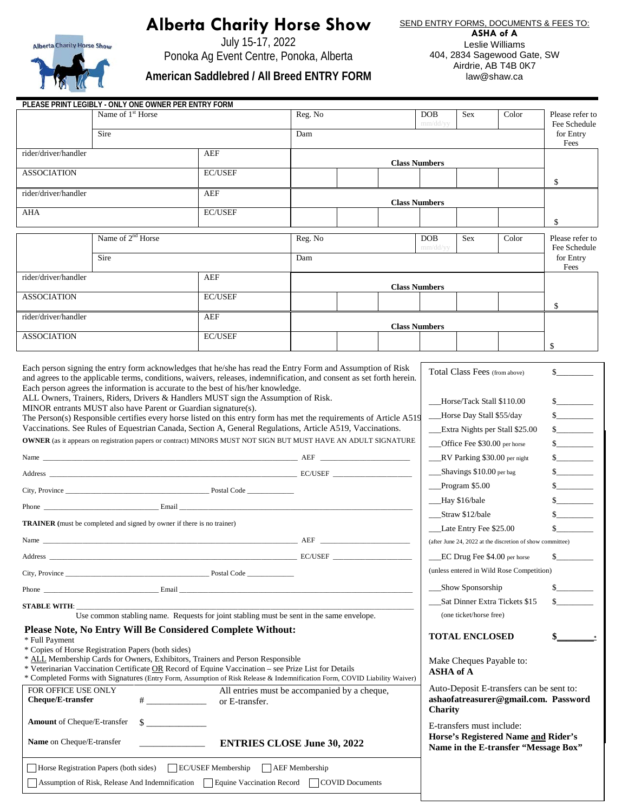## **Alberta Charity Horse Show**



July 15-17, 2022 Ponoka Ag Event Centre, Ponoka, Alberta

**American Saddlebred / All Breed ENTRY FORM**

SEND ENTRY FORMS, DOCUMENTS & FEES TO:

**ASHA of A** Leslie Williams 404, 2834 Sagewood Gate, SW Airdrie, AB T4B 0K7 law@shaw.ca

|                                                                                                                                                                                                                                                                                                                                                                                                                                                                                                                                                                                                                                                                                                                                                                                                                                     | PLEASE PRINT LEGIBLY - ONLY ONE OWNER PER ENTRY FORM<br>Name of 1 <sup>st</sup> Horse<br>Sire                                                                                                                                                                                                                                                                            |                                           | Reg. No<br>Dam       |                                                                                             |                                                                                                                                                                                                                               | <b>DOB</b><br>mm/dd/yy                                                                                   | <b>Sex</b>                                       | Color                         | Please refer to<br>Fee Schedule<br>for Entry |
|-------------------------------------------------------------------------------------------------------------------------------------------------------------------------------------------------------------------------------------------------------------------------------------------------------------------------------------------------------------------------------------------------------------------------------------------------------------------------------------------------------------------------------------------------------------------------------------------------------------------------------------------------------------------------------------------------------------------------------------------------------------------------------------------------------------------------------------|--------------------------------------------------------------------------------------------------------------------------------------------------------------------------------------------------------------------------------------------------------------------------------------------------------------------------------------------------------------------------|-------------------------------------------|----------------------|---------------------------------------------------------------------------------------------|-------------------------------------------------------------------------------------------------------------------------------------------------------------------------------------------------------------------------------|----------------------------------------------------------------------------------------------------------|--------------------------------------------------|-------------------------------|----------------------------------------------|
|                                                                                                                                                                                                                                                                                                                                                                                                                                                                                                                                                                                                                                                                                                                                                                                                                                     |                                                                                                                                                                                                                                                                                                                                                                          |                                           |                      |                                                                                             |                                                                                                                                                                                                                               |                                                                                                          |                                                  | Fees                          |                                              |
| rider/driver/handler<br><b>AEF</b>                                                                                                                                                                                                                                                                                                                                                                                                                                                                                                                                                                                                                                                                                                                                                                                                  |                                                                                                                                                                                                                                                                                                                                                                          |                                           | <b>Class Numbers</b> |                                                                                             |                                                                                                                                                                                                                               |                                                                                                          |                                                  |                               |                                              |
| <b>ASSOCIATION</b>                                                                                                                                                                                                                                                                                                                                                                                                                                                                                                                                                                                                                                                                                                                                                                                                                  |                                                                                                                                                                                                                                                                                                                                                                          | <b>EC/USEF</b>                            |                      |                                                                                             |                                                                                                                                                                                                                               |                                                                                                          |                                                  |                               | \$                                           |
| rider/driver/handler                                                                                                                                                                                                                                                                                                                                                                                                                                                                                                                                                                                                                                                                                                                                                                                                                |                                                                                                                                                                                                                                                                                                                                                                          | <b>AEF</b>                                |                      |                                                                                             | <b>Class Numbers</b>                                                                                                                                                                                                          |                                                                                                          |                                                  |                               |                                              |
| AHA                                                                                                                                                                                                                                                                                                                                                                                                                                                                                                                                                                                                                                                                                                                                                                                                                                 |                                                                                                                                                                                                                                                                                                                                                                          | <b>EC/USEF</b>                            |                      |                                                                                             |                                                                                                                                                                                                                               |                                                                                                          |                                                  |                               |                                              |
|                                                                                                                                                                                                                                                                                                                                                                                                                                                                                                                                                                                                                                                                                                                                                                                                                                     |                                                                                                                                                                                                                                                                                                                                                                          |                                           |                      |                                                                                             |                                                                                                                                                                                                                               |                                                                                                          |                                                  |                               | \$                                           |
| Name of 2 <sup>nd</sup> Horse                                                                                                                                                                                                                                                                                                                                                                                                                                                                                                                                                                                                                                                                                                                                                                                                       |                                                                                                                                                                                                                                                                                                                                                                          |                                           | Reg. No              |                                                                                             | Sex<br>Color<br><b>DOB</b><br>mm/dd/yy                                                                                                                                                                                        |                                                                                                          | Please refer to<br>Fee Schedule                  |                               |                                              |
|                                                                                                                                                                                                                                                                                                                                                                                                                                                                                                                                                                                                                                                                                                                                                                                                                                     | Sire                                                                                                                                                                                                                                                                                                                                                                     |                                           | Dam                  |                                                                                             |                                                                                                                                                                                                                               |                                                                                                          |                                                  |                               | for Entry<br>Fees                            |
| rider/driver/handler                                                                                                                                                                                                                                                                                                                                                                                                                                                                                                                                                                                                                                                                                                                                                                                                                |                                                                                                                                                                                                                                                                                                                                                                          | <b>AEF</b>                                | <b>Class Numbers</b> |                                                                                             |                                                                                                                                                                                                                               |                                                                                                          |                                                  |                               |                                              |
| <b>ASSOCIATION</b>                                                                                                                                                                                                                                                                                                                                                                                                                                                                                                                                                                                                                                                                                                                                                                                                                  |                                                                                                                                                                                                                                                                                                                                                                          | <b>EC/USEF</b>                            |                      |                                                                                             |                                                                                                                                                                                                                               |                                                                                                          |                                                  |                               |                                              |
| rider/driver/handler                                                                                                                                                                                                                                                                                                                                                                                                                                                                                                                                                                                                                                                                                                                                                                                                                |                                                                                                                                                                                                                                                                                                                                                                          | AEF                                       |                      |                                                                                             |                                                                                                                                                                                                                               |                                                                                                          |                                                  |                               | \$                                           |
| <b>ASSOCIATION</b>                                                                                                                                                                                                                                                                                                                                                                                                                                                                                                                                                                                                                                                                                                                                                                                                                  |                                                                                                                                                                                                                                                                                                                                                                          | <b>EC/USEF</b>                            | <b>Class Numbers</b> |                                                                                             |                                                                                                                                                                                                                               |                                                                                                          |                                                  |                               |                                              |
|                                                                                                                                                                                                                                                                                                                                                                                                                                                                                                                                                                                                                                                                                                                                                                                                                                     |                                                                                                                                                                                                                                                                                                                                                                          |                                           |                      |                                                                                             |                                                                                                                                                                                                                               |                                                                                                          |                                                  |                               | \$                                           |
| Each person signing the entry form acknowledges that he/she has read the Entry Form and Assumption of Risk<br>and agrees to the applicable terms, conditions, waivers, releases, indemnification, and consent as set forth herein.<br>Each person agrees the information is accurate to the best of his/her knowledge.<br>ALL Owners, Trainers, Riders, Drivers & Handlers MUST sign the Assumption of Risk.<br>MINOR entrants MUST also have Parent or Guardian signature(s).<br>The Person(s) Responsible certifies every horse listed on this entry form has met the requirements of Article A519<br>Vaccinations. See Rules of Equestrian Canada, Section A, General Regulations, Article A519, Vaccinations.<br>OWNER (as it appears on registration papers or contract) MINORS MUST NOT SIGN BUT MUST HAVE AN ADULT SIGNATURE |                                                                                                                                                                                                                                                                                                                                                                          |                                           |                      |                                                                                             | Total Class Fees (from above)<br>Horse/Tack Stall \$110.00<br>-Horse Day Stall \$55/day<br>__Extra Nights per Stall \$25.00<br>__Office Fee \$30.00 per horse<br>__RV Parking \$30.00 per night<br>__Shavings \$10.00 per bag |                                                                                                          |                                                  | $\sim$<br>s<br>s<br>s<br>s    |                                              |
|                                                                                                                                                                                                                                                                                                                                                                                                                                                                                                                                                                                                                                                                                                                                                                                                                                     |                                                                                                                                                                                                                                                                                                                                                                          |                                           |                      |                                                                                             |                                                                                                                                                                                                                               | $Pregram$ \$5.00                                                                                         |                                                  |                               | s                                            |
| Phone Email Email Contract of the Contract of the Contract of the Contract of the Contract of the Contract of the Contract of the Contract of the Contract of the Contract of the Contract of the Contract of the Contract of                                                                                                                                                                                                                                                                                                                                                                                                                                                                                                                                                                                                       |                                                                                                                                                                                                                                                                                                                                                                          |                                           |                      |                                                                                             |                                                                                                                                                                                                                               | __Hay \$16/bale<br>Straw \$12/bale                                                                       |                                                  |                               | s<br>$\sim$                                  |
| <b>TRAINER</b> (must be completed and signed by owner if there is no trainer)                                                                                                                                                                                                                                                                                                                                                                                                                                                                                                                                                                                                                                                                                                                                                       |                                                                                                                                                                                                                                                                                                                                                                          |                                           |                      | Late Entry Fee \$25.00                                                                      |                                                                                                                                                                                                                               |                                                                                                          |                                                  |                               |                                              |
| Name AEF                                                                                                                                                                                                                                                                                                                                                                                                                                                                                                                                                                                                                                                                                                                                                                                                                            |                                                                                                                                                                                                                                                                                                                                                                          |                                           |                      |                                                                                             |                                                                                                                                                                                                                               | (after June 24, 2022 at the discretion of show committee)                                                |                                                  |                               |                                              |
|                                                                                                                                                                                                                                                                                                                                                                                                                                                                                                                                                                                                                                                                                                                                                                                                                                     |                                                                                                                                                                                                                                                                                                                                                                          |                                           | $\_$ EC/USEF $\_$    |                                                                                             |                                                                                                                                                                                                                               | EC Drug Fee \$4.00 per horse                                                                             |                                                  |                               | S.                                           |
|                                                                                                                                                                                                                                                                                                                                                                                                                                                                                                                                                                                                                                                                                                                                                                                                                                     |                                                                                                                                                                                                                                                                                                                                                                          |                                           |                      |                                                                                             |                                                                                                                                                                                                                               | (unless entered in Wild Rose Competition)                                                                |                                                  |                               |                                              |
|                                                                                                                                                                                                                                                                                                                                                                                                                                                                                                                                                                                                                                                                                                                                                                                                                                     |                                                                                                                                                                                                                                                                                                                                                                          |                                           |                      |                                                                                             |                                                                                                                                                                                                                               |                                                                                                          | ___Show Sponsorship                              |                               |                                              |
|                                                                                                                                                                                                                                                                                                                                                                                                                                                                                                                                                                                                                                                                                                                                                                                                                                     | Use common stabling name. Requests for joint stabling must be sent in the same envelope.                                                                                                                                                                                                                                                                                 |                                           |                      |                                                                                             |                                                                                                                                                                                                                               |                                                                                                          |                                                  | Sat Dinner Extra Tickets \$15 | $\mathbb{S}$ and $\mathbb{S}$                |
| * Full Payment                                                                                                                                                                                                                                                                                                                                                                                                                                                                                                                                                                                                                                                                                                                                                                                                                      | Please Note, No Entry Will Be Considered Complete Without:                                                                                                                                                                                                                                                                                                               |                                           |                      |                                                                                             |                                                                                                                                                                                                                               |                                                                                                          | (one ticket/horse free)<br><b>TOTAL ENCLOSED</b> |                               |                                              |
|                                                                                                                                                                                                                                                                                                                                                                                                                                                                                                                                                                                                                                                                                                                                                                                                                                     | * Copies of Horse Registration Papers (both sides)<br>* ALL Membership Cards for Owners, Exhibitors, Trainers and Person Responsible<br>* Veterinarian Vaccination Certificate OR Record of Equine Vaccination – see Prize List for Details<br>* Completed Forms with Signatures (Entry Form, Assumption of Risk Release & Indemnification Form, COVID Liability Waiver) |                                           |                      |                                                                                             |                                                                                                                                                                                                                               | <b>ASHA</b> of A                                                                                         |                                                  | Make Cheques Payable to:      |                                              |
| FOR OFFICE USE ONLY<br>All entries must be accompanied by a cheque,<br>Cheque/E-transfer<br>or E-transfer.                                                                                                                                                                                                                                                                                                                                                                                                                                                                                                                                                                                                                                                                                                                          |                                                                                                                                                                                                                                                                                                                                                                          |                                           |                      | Auto-Deposit E-transfers can be sent to:<br>ashaofatreasurer@gmail.com. Password<br>Charity |                                                                                                                                                                                                                               |                                                                                                          |                                                  |                               |                                              |
| <b>Amount</b> of Cheque/E-transfer<br>$\frac{\text{S}}{\text{S}}$<br>Name on Cheque/E-transfer<br><b>ENTRIES CLOSE June 30, 2022</b>                                                                                                                                                                                                                                                                                                                                                                                                                                                                                                                                                                                                                                                                                                |                                                                                                                                                                                                                                                                                                                                                                          |                                           |                      |                                                                                             |                                                                                                                                                                                                                               | E-transfers must include:<br>Horse's Registered Name and Rider's<br>Name in the E-transfer "Message Box" |                                                  |                               |                                              |
|                                                                                                                                                                                                                                                                                                                                                                                                                                                                                                                                                                                                                                                                                                                                                                                                                                     | Horse Registration Papers (both sides) EC/USEF Membership   AEF Membership<br>Assumption of Risk, Release And Indemnification                                                                                                                                                                                                                                            | Equine Vaccination Record COVID Documents |                      |                                                                                             |                                                                                                                                                                                                                               |                                                                                                          |                                                  |                               |                                              |